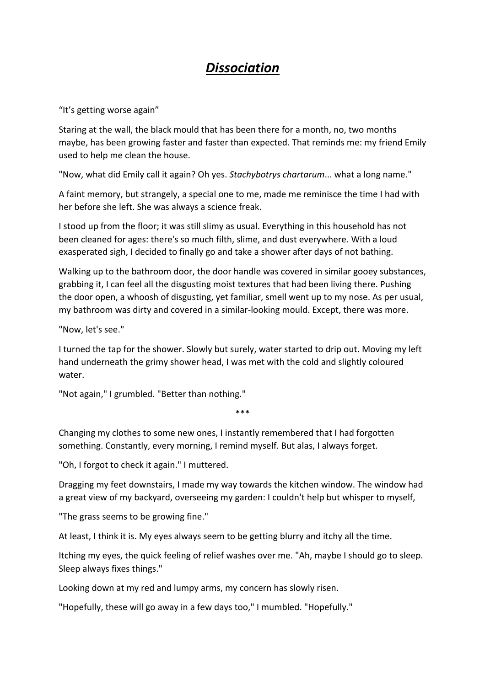## *Dissociation*

"It's getting worse again"

Staring at the wall, the black mould that has been there for a month, no, two months maybe, has been growing faster and faster than expected. That reminds me: my friend Emily used to help me clean the house.

"Now, what did Emily call it again? Oh yes. *Stachybotrys chartarum*... what a long name."

A faint memory, but strangely, a special one to me, made me reminisce the time I had with her before she left. She was always a science freak.

I stood up from the floor; it was still slimy as usual. Everything in this household has not been cleaned for ages: there's so much filth, slime, and dust everywhere. With a loud exasperated sigh, I decided to finally go and take a shower after days of not bathing.

Walking up to the bathroom door, the door handle was covered in similar gooey substances, grabbing it, I can feel all the disgusting moist textures that had been living there. Pushing the door open, a whoosh of disgusting, yet familiar, smell went up to my nose. As per usual, my bathroom was dirty and covered in a similar-looking mould. Except, there was more.

"Now, let's see."

I turned the tap for the shower. Slowly but surely, water started to drip out. Moving my left hand underneath the grimy shower head, I was met with the cold and slightly coloured water.

"Not again," I grumbled. "Better than nothing."

\*\*\*

Changing my clothes to some new ones, I instantly remembered that I had forgotten something. Constantly, every morning, I remind myself. But alas, I always forget.

"Oh, I forgot to check it again." I muttered.

Dragging my feet downstairs, I made my way towards the kitchen window. The window had a great view of my backyard, overseeing my garden: I couldn't help but whisper to myself,

"The grass seems to be growing fine."

At least, I think it is. My eyes always seem to be getting blurry and itchy all the time.

Itching my eyes, the quick feeling of relief washes over me. "Ah, maybe I should go to sleep. Sleep always fixes things."

Looking down at my red and lumpy arms, my concern has slowly risen.

"Hopefully, these will go away in a few days too," I mumbled. "Hopefully."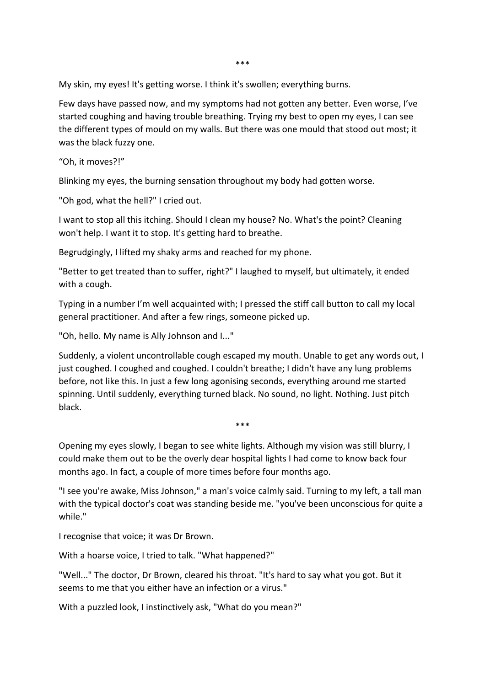\*\*\*

My skin, my eyes! It's getting worse. I think it's swollen; everything burns.

Few days have passed now, and my symptoms had not gotten any better. Even worse, I've started coughing and having trouble breathing. Trying my best to open my eyes, I can see the different types of mould on my walls. But there was one mould that stood out most; it was the black fuzzy one.

"Oh, it moves?!"

Blinking my eyes, the burning sensation throughout my body had gotten worse.

"Oh god, what the hell?" I cried out.

I want to stop all this itching. Should I clean my house? No. What's the point? Cleaning won't help. I want it to stop. It's getting hard to breathe.

Begrudgingly, I lifted my shaky arms and reached for my phone.

"Better to get treated than to suffer, right?" I laughed to myself, but ultimately, it ended with a cough.

Typing in a number I'm well acquainted with; I pressed the stiff call button to call my local general practitioner. And after a few rings, someone picked up.

"Oh, hello. My name is Ally Johnson and I..."

Suddenly, a violent uncontrollable cough escaped my mouth. Unable to get any words out, I just coughed. I coughed and coughed. I couldn't breathe; I didn't have any lung problems before, not like this. In just a few long agonising seconds, everything around me started spinning. Until suddenly, everything turned black. No sound, no light. Nothing. Just pitch black.

\*\*\*

Opening my eyes slowly, I began to see white lights. Although my vision was still blurry, I could make them out to be the overly dear hospital lights I had come to know back four months ago. In fact, a couple of more times before four months ago.

"I see you're awake, Miss Johnson," a man's voice calmly said. Turning to my left, a tall man with the typical doctor's coat was standing beside me. "you've been unconscious for quite a while."

I recognise that voice; it was Dr Brown.

With a hoarse voice, I tried to talk. "What happened?"

"Well..." The doctor, Dr Brown, cleared his throat. "It's hard to say what you got. But it seems to me that you either have an infection or a virus."

With a puzzled look, I instinctively ask, "What do you mean?"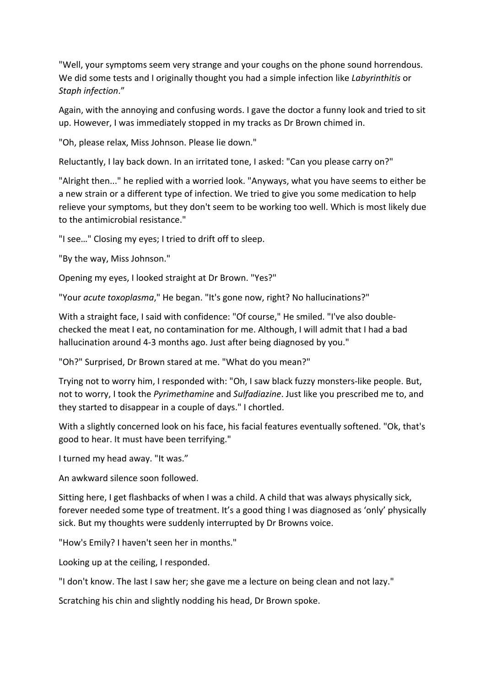"Well, your symptoms seem very strange and your coughs on the phone sound horrendous. We did some tests and I originally thought you had a simple infection like *Labyrinthitis* or *Staph infection*."

Again, with the annoying and confusing words. I gave the doctor a funny look and tried to sit up. However, I was immediately stopped in my tracks as Dr Brown chimed in.

"Oh, please relax, Miss Johnson. Please lie down."

Reluctantly, I lay back down. In an irritated tone, I asked: "Can you please carry on?"

"Alright then..." he replied with a worried look. "Anyways, what you have seems to either be a new strain or a different type of infection. We tried to give you some medication to help relieve your symptoms, but they don't seem to be working too well. Which is most likely due to the antimicrobial resistance."

"I see…" Closing my eyes; I tried to drift off to sleep.

"By the way, Miss Johnson."

Opening my eyes, I looked straight at Dr Brown. "Yes?"

"Your *acute toxoplasma*," He began. "It's gone now, right? No hallucinations?"

With a straight face, I said with confidence: "Of course," He smiled. "I've also doublechecked the meat I eat, no contamination for me. Although, I will admit that I had a bad hallucination around 4-3 months ago. Just after being diagnosed by you."

"Oh?" Surprised, Dr Brown stared at me. "What do you mean?"

Trying not to worry him, I responded with: "Oh, I saw black fuzzy monsters-like people. But, not to worry, I took the *Pyrimethamine* and *Sulfadiazine*. Just like you prescribed me to, and they started to disappear in a couple of days." I chortled.

With a slightly concerned look on his face, his facial features eventually softened. "Ok, that's good to hear. It must have been terrifying."

I turned my head away. "It was."

An awkward silence soon followed.

Sitting here, I get flashbacks of when I was a child. A child that was always physically sick, forever needed some type of treatment. It's a good thing I was diagnosed as 'only' physically sick. But my thoughts were suddenly interrupted by Dr Browns voice.

"How's Emily? I haven't seen her in months."

Looking up at the ceiling, I responded.

"I don't know. The last I saw her; she gave me a lecture on being clean and not lazy."

Scratching his chin and slightly nodding his head, Dr Brown spoke.